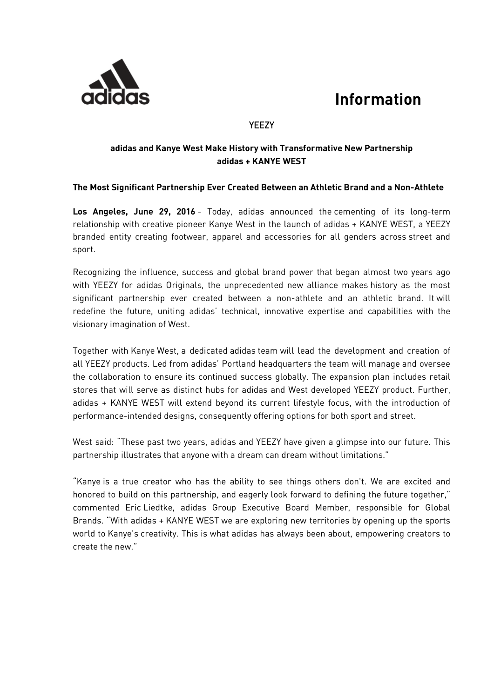## **Information**



### YEEZY

#### **adidas and Kanye West Make History with Transformative New Partnership adidas + KANYE WEST**

#### **The Most Significant Partnership Ever Created Between an Athletic Brand and a Non-Athlete**

**Los Angeles, June 29, 2016** - Today, adidas announced the cementing of its long-term relationship with creative pioneer Kanye West in the launch of adidas + KANYE WEST, a YEEZY branded entity creating footwear, apparel and accessories for all genders across street and sport.

Recognizing the influence, success and global brand power that began almost two years ago with YEEZY for adidas Originals, the unprecedented new alliance makes history as the most significant partnership ever created between a non-athlete and an athletic brand. It will redefine the future, uniting adidas' technical, innovative expertise and capabilities with the visionary imagination of West.

Together with Kanye West, a dedicated adidas team will lead the development and creation of all YEEZY products. Led from adidas' Portland headquarters the team will manage and oversee the collaboration to ensure its continued success globally. The expansion plan includes retail stores that will serve as distinct hubs for adidas and West developed YEEZY product. Further, adidas + KANYE WEST will extend beyond its current lifestyle focus, with the introduction of performance-intended designs, consequently offering options for both sport and street.

West said: "These past two years, adidas and YEEZY have given a glimpse into our future. This partnership illustrates that anyone with a dream can dream without limitations."

"Kanye is a true creator who has the ability to see things others don't. We are excited and honored to build on this partnership, and eagerly look forward to defining the future together," commented Eric Liedtke, adidas Group Executive Board Member, responsible for Global Brands. "With adidas + KANYE WEST we are exploring new territories by opening up the sports world to Kanye's creativity. This is what adidas has always been about, empowering creators to create the new."